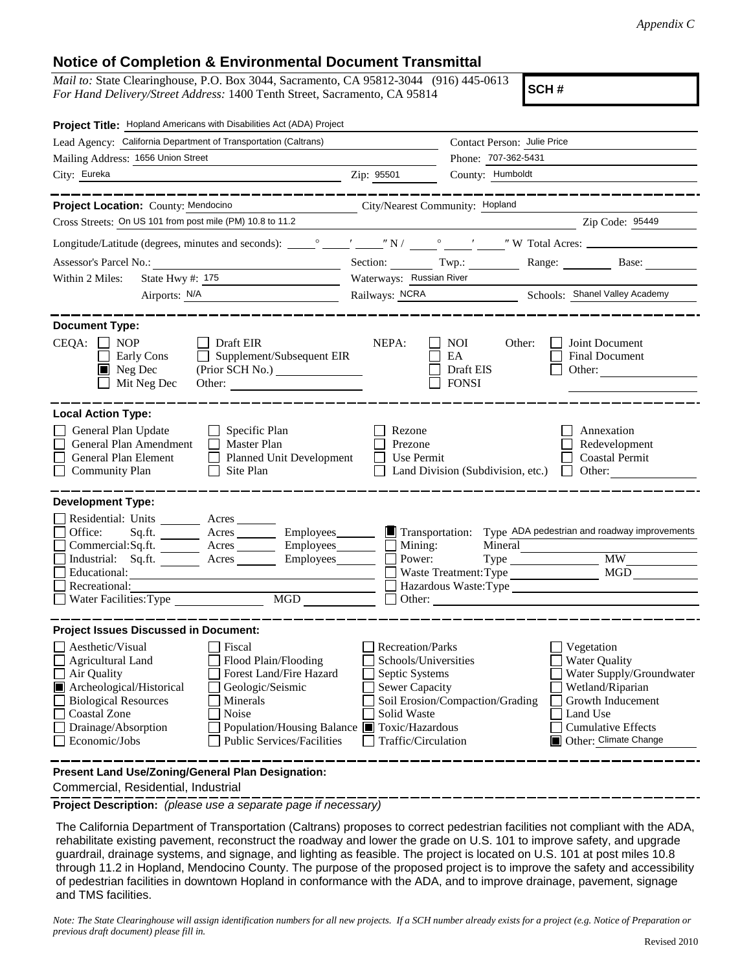## **Notice of Completion & Environmental Document Transmittal**

*Mail to:* State Clearinghouse, P.O. Box 3044, Sacramento, CA 95812-3044 (916) 445-0613 *For Hand Delivery/Street Address:* 1400 Tenth Street, Sacramento, CA 95814

**SCH #**

| Project Title: Hopland Americans with Disabilities Act (ADA) Project                                                                                                                                                                                                                                                                                                                                                                   |                                                                                                                           |                                                   |                                                                                                                                                                    |  |
|----------------------------------------------------------------------------------------------------------------------------------------------------------------------------------------------------------------------------------------------------------------------------------------------------------------------------------------------------------------------------------------------------------------------------------------|---------------------------------------------------------------------------------------------------------------------------|---------------------------------------------------|--------------------------------------------------------------------------------------------------------------------------------------------------------------------|--|
| Lead Agency: California Department of Transportation (Caltrans)                                                                                                                                                                                                                                                                                                                                                                        |                                                                                                                           | Contact Person: Julie Price                       |                                                                                                                                                                    |  |
| Mailing Address: 1656 Union Street                                                                                                                                                                                                                                                                                                                                                                                                     |                                                                                                                           | Phone: 707-362-5431                               |                                                                                                                                                                    |  |
| City: Eureka                                                                                                                                                                                                                                                                                                                                                                                                                           | County: Humboldt<br>Zip: 95501                                                                                            |                                                   |                                                                                                                                                                    |  |
| Project Location: County: Mendocino                                                                                                                                                                                                                                                                                                                                                                                                    | City/Nearest Community: Hopland                                                                                           |                                                   |                                                                                                                                                                    |  |
| Cross Streets: On US 101 from post mile (PM) 10.8 to 11.2                                                                                                                                                                                                                                                                                                                                                                              |                                                                                                                           |                                                   |                                                                                                                                                                    |  |
|                                                                                                                                                                                                                                                                                                                                                                                                                                        |                                                                                                                           |                                                   | Zip Code: 95449                                                                                                                                                    |  |
|                                                                                                                                                                                                                                                                                                                                                                                                                                        |                                                                                                                           |                                                   |                                                                                                                                                                    |  |
|                                                                                                                                                                                                                                                                                                                                                                                                                                        |                                                                                                                           |                                                   | Section: Twp.: Range: Base:                                                                                                                                        |  |
| State Hwy #: 175<br>Within 2 Miles:                                                                                                                                                                                                                                                                                                                                                                                                    | Waterways: Russian River                                                                                                  |                                                   |                                                                                                                                                                    |  |
| Airports: N/A                                                                                                                                                                                                                                                                                                                                                                                                                          |                                                                                                                           |                                                   | Railways: NCRA Schools: Shanel Valley Academy                                                                                                                      |  |
| <b>Document Type:</b><br>$CEQA: \Box NP$<br>Draft EIR<br>Supplement/Subsequent EIR<br>Early Cons<br>Neg Dec<br>(Prior SCH No.)<br>Mit Neg Dec<br>Other:                                                                                                                                                                                                                                                                                | NEPA:                                                                                                                     | NOI.<br>Other:<br>EA<br>Draft EIS<br><b>FONSI</b> | Joint Document<br>Final Document<br>Other:                                                                                                                         |  |
| <b>Local Action Type:</b><br>General Plan Update<br>Specific Plan<br>General Plan Amendment<br>Master Plan<br>General Plan Element<br><b>Planned Unit Development</b><br>Site Plan<br><b>Community Plan</b>                                                                                                                                                                                                                            | Rezone<br>Prezone<br>Use Permit                                                                                           | Land Division (Subdivision, etc.)                 | Annexation<br>Redevelopment<br><b>Coastal Permit</b><br>Other:                                                                                                     |  |
| <b>Development Type:</b><br>Residential: Units _______<br>Acres<br>Office:<br>Sq.ft.<br>Acres ____________ Employees_________<br>Employees_____<br>Commercial:Sq.ft. _________ Acres _______<br>Industrial: Sq.ft. _______ Acres ______<br>Educational:<br>Recreational:<br>MGD<br>Water Facilities: Type                                                                                                                              | $\blacksquare$ Mining:<br>Power:                                                                                          | Mineral<br>Waste Treatment: Type<br>Other:        | Transportation: Type ADA pedestrian and roadway improvements<br>MGD                                                                                                |  |
| <b>Project Issues Discussed in Document:</b><br>Aesthetic/Visual<br>Fiscal<br>Flood Plain/Flooding<br>$\mathbf{r}$ Agricultural Land<br>Air Quality<br>Forest Land/Fire Hazard<br>Archeological/Historical<br>Geologic/Seismic<br><b>Biological Resources</b><br>Minerals<br>Noise<br><b>Coastal Zone</b><br>Drainage/Absorption<br>Population/Housing Balance ■ Toxic/Hazardous<br>Economic/Jobs<br><b>Public Services/Facilities</b> | Recreation/Parks<br>Schools/Universities<br>Septic Systems<br><b>Sewer Capacity</b><br>Solid Waste<br>Traffic/Circulation | Soil Erosion/Compaction/Grading                   | Vegetation<br>Water Quality<br>Water Supply/Groundwater<br>Wetland/Riparian<br>Growth Inducement<br>Land Use<br><b>Cumulative Effects</b><br>Other: Climate Change |  |
| Present Land Use/Zoning/General Plan Designation:                                                                                                                                                                                                                                                                                                                                                                                      |                                                                                                                           |                                                   |                                                                                                                                                                    |  |

Commercial, Residential, Industrial

**Project Description:** *(please use a separate page if necessary)*

 The California Department of Transportation (Caltrans) proposes to correct pedestrian facilities not compliant with the ADA, rehabilitate existing pavement, reconstruct the roadway and lower the grade on U.S. 101 to improve safety, and upgrade guardrail, drainage systems, and signage, and lighting as feasible. The project is located on U.S. 101 at post miles 10.8 through 11.2 in Hopland, Mendocino County. The purpose of the proposed project is to improve the safety and accessibility of pedestrian facilities in downtown Hopland in conformance with the ADA, and to improve drainage, pavement, signage and TMS facilities.

*Note: The State Clearinghouse will assign identification numbers for all new projects. If a SCH number already exists for a project (e.g. Notice of Preparation or previous draft document) please fill in.*